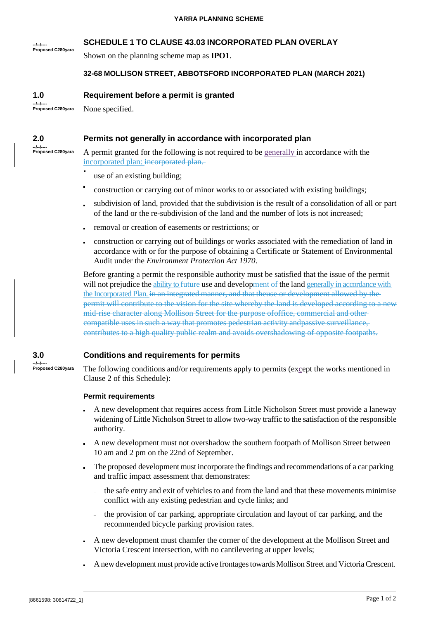# **SCHEDULE 1 TO CLAUSE 43.03 INCORPORATED PLAN OVERLAY**

**--/--/---- Proposed C280yara**

## Shown on the planning scheme map as **IPO1**.

## **32-68 MOLLISON STREET, ABBOTSFORD INCORPORATED PLAN (MARCH 2021)**

**1.0 Requirement before a permit is granted**

**--/--/---- Proposed C280yara** None specified.

#### **2.0 Permits not generally in accordance with incorporated plan**

**--/--/---- Proposed C280yara**

A permit granted for the following is not required to be generally in accordance with the incorporated plan: incorporated plan.

- use of an existing building;
- construction or carrying out of minor works to or associated with existing buildings;
- subdivision of land, provided that the subdivision is the result of a consolidation of all or part of the land or the re-subdivision of the land and the number of lots is not increased;
- removal or creation of easements or restrictions; or
- construction or carrying out of buildings or works associated with the remediation of land in accordance with or for the purpose of obtaining a Certificate or Statement of Environmental Audit under the *Environment Protection Act 1970*.

Before granting a permit the responsible authority must be satisfied that the issue of the permit will not prejudice the ability to future-use and development of the land generally in accordance with the Incorporated Plan. in an integrated manner, and that theuse or development allowed by the permit will contribute to the vision for the site whereby the land is developed according to a new mid-rise character along Mollison Street for the purpose ofoffice, commercial and other compatible uses in such a way that promotes pedestrian activity andpassive surveillance, contributes to a high quality public realm and avoids overshadowing of opposite footpaths.

#### **3.0 Conditions and requirements for permits**

**--/--/---- Proposed C280yara**

The following conditions and/or requirements apply to permits (except the works mentioned in Clause 2 of this Schedule):

### **Permit requirements**

- A new development that requires access from Little Nicholson Street must provide a laneway widening of Little Nicholson Street to allow two-way traffic to the satisfaction of the responsible authority.
- A new development must not overshadow the southern footpath of Mollison Street between 10 am and 2 pm on the 22nd of September.
- The proposed development must incorporate the findings and recommendations of a car parking  $\blacksquare$ and traffic impact assessment that demonstrates:
	- the safe entry and exit of vehicles to and from the land and that these movements minimise conflict with any existing pedestrian and cycle links; and
	- the provision of car parking, appropriate circulation and layout of car parking, and the recommended bicycle parking provision rates.
- A new development must chamfer the corner of the development at the Mollison Street and Victoria Crescent intersection, with no cantilevering at upper levels;
- A new development must provide active frontages towards Mollison Street and Victoria Crescent.